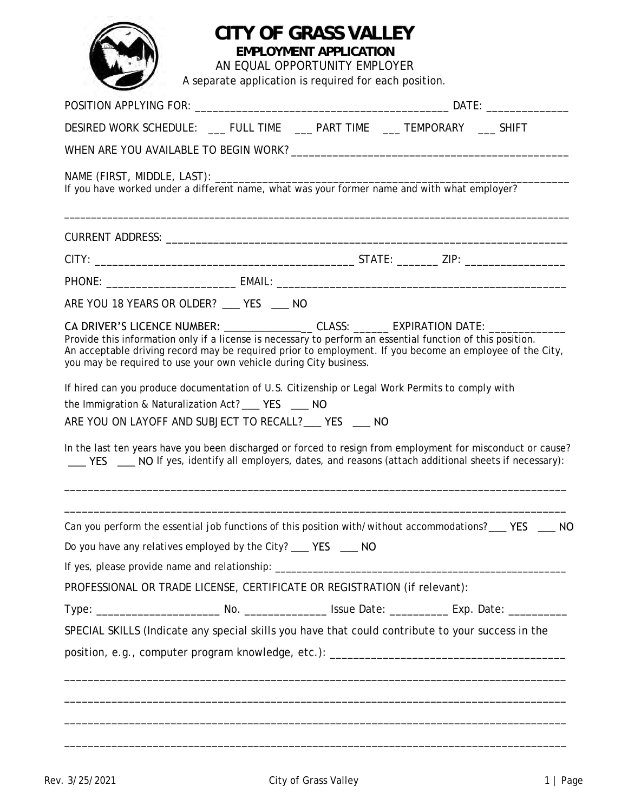## **CITY OF GRASS VALLEY**

**EMPLOYMENT APPLICATION**

AN EQUAL OPPORTUNITY EMPLOYER A separate application is required for each position.

| DESIRED WORK SCHEDULE: ___ FULL TIME ____ PART TIME ____ TEMPORARY ___ SHIFT                                                                                                                                                                                                                                                                                                                       |  |  |  |  |  |  |
|----------------------------------------------------------------------------------------------------------------------------------------------------------------------------------------------------------------------------------------------------------------------------------------------------------------------------------------------------------------------------------------------------|--|--|--|--|--|--|
|                                                                                                                                                                                                                                                                                                                                                                                                    |  |  |  |  |  |  |
|                                                                                                                                                                                                                                                                                                                                                                                                    |  |  |  |  |  |  |
|                                                                                                                                                                                                                                                                                                                                                                                                    |  |  |  |  |  |  |
|                                                                                                                                                                                                                                                                                                                                                                                                    |  |  |  |  |  |  |
|                                                                                                                                                                                                                                                                                                                                                                                                    |  |  |  |  |  |  |
| ARE YOU 18 YEARS OR OLDER? ___ YES ___ NO                                                                                                                                                                                                                                                                                                                                                          |  |  |  |  |  |  |
| CA DRIVER'S LICENCE NUMBER: ___________________ CLASS: _______ EXPIRATION DATE: ___________________<br>Provide this information only if a license is necessary to perform an essential function of this position.<br>An acceptable driving record may be required prior to employment. If you become an employee of the City,<br>you may be required to use your own vehicle during City business. |  |  |  |  |  |  |
| If hired can you produce documentation of U.S. Citizenship or Legal Work Permits to comply with                                                                                                                                                                                                                                                                                                    |  |  |  |  |  |  |
| the Immigration & Naturalization Act? ____ YES ____ NO<br>ARE YOU ON LAYOFF AND SUBJECT TO RECALL?___ YES ___ NO                                                                                                                                                                                                                                                                                   |  |  |  |  |  |  |
| In the last ten years have you been discharged or forced to resign from employment for misconduct or cause?<br>YES NO If yes, identify all employers, dates, and reasons (attach additional sheets if necessary):                                                                                                                                                                                  |  |  |  |  |  |  |
| Can you perform the essential job functions of this position with/without accommodations? ___ YES ___ NO<br>Do you have any relatives employed by the City? __ YES __ NO<br>If yes, please provide name and relationship: __________________________________                                                                                                                                       |  |  |  |  |  |  |
| PROFESSIONAL OR TRADE LICENSE, CERTIFICATE OR REGISTRATION (if relevant):                                                                                                                                                                                                                                                                                                                          |  |  |  |  |  |  |
|                                                                                                                                                                                                                                                                                                                                                                                                    |  |  |  |  |  |  |
| SPECIAL SKILLS (Indicate any special skills you have that could contribute to your success in the                                                                                                                                                                                                                                                                                                  |  |  |  |  |  |  |
|                                                                                                                                                                                                                                                                                                                                                                                                    |  |  |  |  |  |  |
|                                                                                                                                                                                                                                                                                                                                                                                                    |  |  |  |  |  |  |
|                                                                                                                                                                                                                                                                                                                                                                                                    |  |  |  |  |  |  |
|                                                                                                                                                                                                                                                                                                                                                                                                    |  |  |  |  |  |  |
|                                                                                                                                                                                                                                                                                                                                                                                                    |  |  |  |  |  |  |